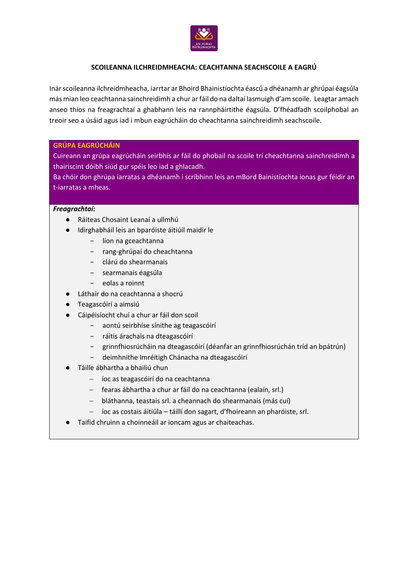

# **SCOILEANNA ILCHREIDMHEACHA: CEACHTANNA SEACHSCOILE A EAGRÚ**

Inár scoileanna ilchreidmheacha, iarrtar ar Bhoird Bhainistíochta éascú a dhéanamh ar ghrúpaí éagsúla más mian leo ceachtanna sainchreidimh a chur ar fáil do na daltaí lasmuigh d'am scoile. Leagtar amach anseo thíos na freagrachtaí a ghabhann leis na rannpháirtithe éagsúla. D'fhéadfadh scoilphobal an treoir seo a úsáid agus iad i mbun eagrúcháin do cheachtanna sainchreidimh seachscoile.

# **GRÚPA EAGRÚCHÁIN**

Cuireann an grúpa eagrúcháin seirbhís ar fáil do phobail na scoile trí cheachtanna sainchreidimh a thairiscint dóibh siúd gur spéis leo iad a ghlacadh.

Ba chóir don ghrúpa iarratas a dhéanamh i scríbhinn leis an mBord Bainistíochta ionas gur féidir an t-iarratas a mheas.

# *Freagrachtaí:*

- Ráiteas Chosaint Leanaí a ullmhú
- Idirghabháil leis an bparóiste áitiúil maidir le
	- − líon na gceachtanna
	- − rang-ghrúpaí do cheachtanna
	- − clárú do shearmanais
	- − searmanais éagsúla
	- − eolas a roinnt
- Láthair do na ceachtanna a shocrú
- Teagascóirí a aimsiú
- Cáipéisíocht chuí a chur ar fáil don scoil
	- − aontú seirbhíse sínithe ag teagascóirí
	- − ráitis árachais na dteagascóirí
	- − grinnfhiosrúcháin na dteagascóirí (déanfar an grinnfhiosrúchán tríd an bpátrún)
	- − deimhnithe Imréitigh Chánacha na dteagascóirí
- Táille ábhartha a bhailiú chun
	- − íoc as teagascóirí do na ceachtanna
	- − fearas ábhartha a chur ar fáil do na ceachtanna (ealaín, srl.)
	- − bláthanna, teastais srl. a cheannach do shearmanais (más cuí)
	- − íoc as costais áitiúla táillí don sagart, d'fhoireann an pharóiste, srl.
- Taifid chruinn a choinneáil ar ioncam agus ar chaiteachas.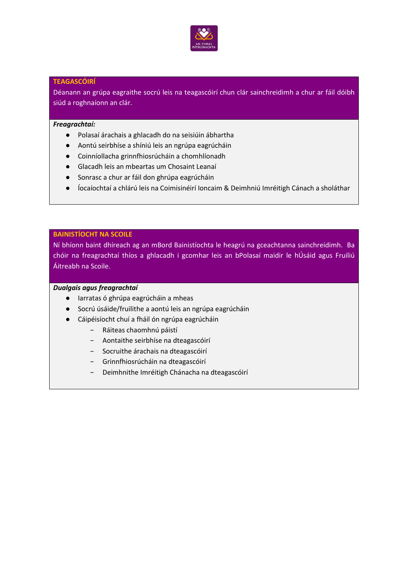

### **TEAGASCÓIRÍ**

Déanann an grúpa eagraithe socrú leis na teagascóirí chun clár sainchreidimh a chur ar fáil dóibh siúd a roghnaíonn an clár.

#### *Freagrachtaí:*

- Polasaí árachais a ghlacadh do na seisiúin ábhartha
- Aontú seirbhíse a shíniú leis an ngrúpa eagrúcháin
- Coinníollacha grinnfhiosrúcháin a chomhlíonadh
- Glacadh leis an mbeartas um Chosaint Leanaí
- Sonrasc a chur ar fáil don ghrúpa eagrúcháin
- Íocaíochtaí a chlárú leis na Coimisinéirí Ioncaim & Deimhniú Imréitigh Cánach a sholáthar

# **BAINISTÍOCHT NA SCOILE**

Ní bhíonn baint dhíreach ag an mBord Bainistíochta le heagrú na gceachtanna sainchreidimh. Ba chóir na freagrachtaí thíos a ghlacadh i gcomhar leis an bPolasaí maidir le hÚsáid agus Fruiliú Áitreabh na Scoile.

### *Dualgais agus freagrachtaí*

- Iarratas ó ghrúpa eagrúcháin a mheas
- Socrú úsáide/fruilithe a aontú leis an ngrúpa eagrúcháin
- Cáipéisíocht chuí a fháil ón ngrúpa eagrúcháin
	- − Ráiteas chaomhnú páistí
	- − Aontaithe seirbhíse na dteagascóirí
	- − Socruithe árachais na dteagascóirí
	- − Grinnfhiosrúcháin na dteagascóirí
	- − Deimhnithe Imréitigh Chánacha na dteagascóirí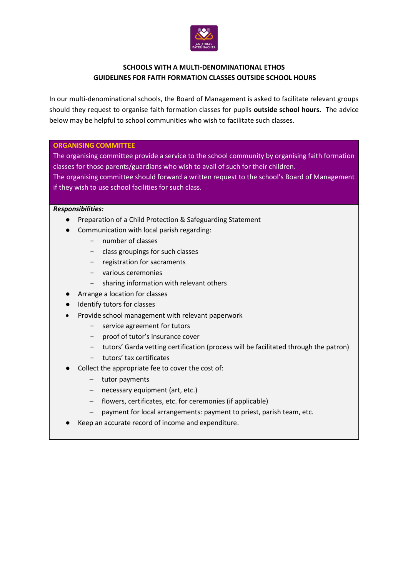

# **SCHOOLS WITH A MULTI-DENOMINATIONAL ETHOS GUIDELINES FOR FAITH FORMATION CLASSES OUTSIDE SCHOOL HOURS**

In our multi-denominational schools, the Board of Management is asked to facilitate relevant groups should they request to organise faith formation classes for pupils **outside school hours.** The advice below may be helpful to school communities who wish to facilitate such classes.

# **ORGANISING COMMITTEE**

The organising committee provide a service to the school community by organising faith formation classes for those parents/guardians who wish to avail of such for their children. The organising committee should forward a written request to the school's Board of Management

if they wish to use school facilities for such class.

# *Responsibilities:*

- Preparation of a Child Protection & Safeguarding Statement
- Communication with local parish regarding:
	- − number of classes
	- − class groupings for such classes
	- − registration for sacraments
	- − various ceremonies
	- − sharing information with relevant others
- Arrange a location for classes
- Identify tutors for classes
- Provide school management with relevant paperwork
	- − service agreement for tutors
	- − proof of tutor's insurance cover
	- − tutors' Garda vetting certification (process will be facilitated through the patron)
	- − tutors' tax certificates
- Collect the appropriate fee to cover the cost of:
	- − tutor payments
	- − necessary equipment (art, etc.)
	- − flowers, certificates, etc. for ceremonies (if applicable)
	- − payment for local arrangements: payment to priest, parish team, etc.
- Keep an accurate record of income and expenditure.